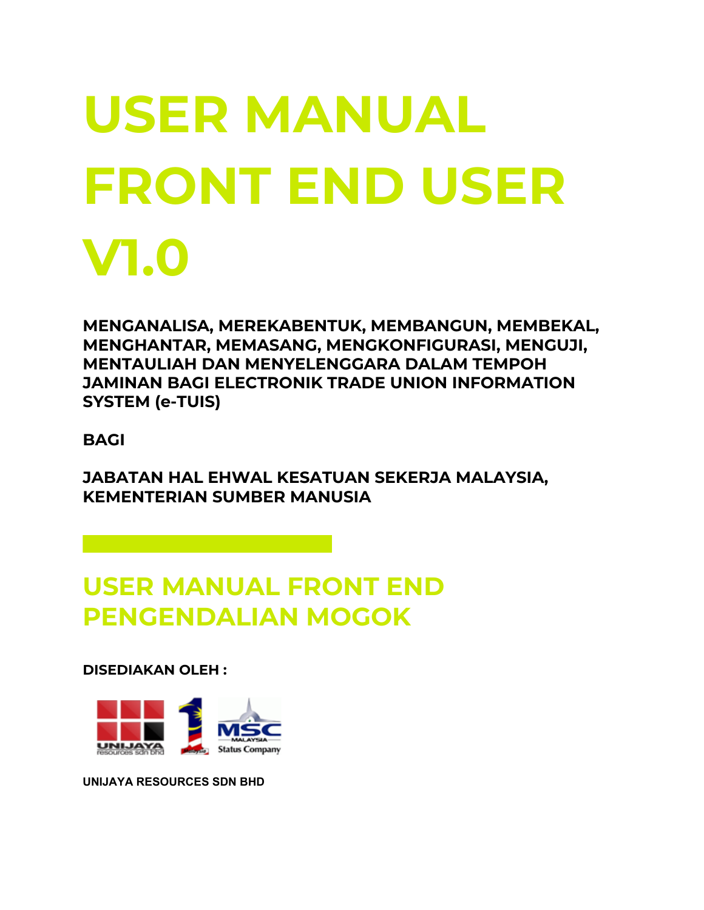# **USER MANUAL FRONT END USER V1.0**

**MENGANALISA, MEREKABENTUK, MEMBANGUN, MEMBEKAL, MENGHANTAR, MEMASANG, MENGKONFIGURASI, MENGUJI, MENTAULIAH DAN MENYELENGGARA DALAM TEMPOH JAMINAN BAGI ELECTRONIK TRADE UNION INFORMATION SYSTEM (e-TUIS)**

**BAGI**

**JABATAN HAL EHWAL KESATUAN SEKERJA MALAYSIA, KEMENTERIAN SUMBER MANUSIA**

# **USER MANUAL FRONT END PENGENDALIAN MOGOK**

**DISEDIAKAN OLEH :**



**UNIJAYA RESOURCES SDN BHD**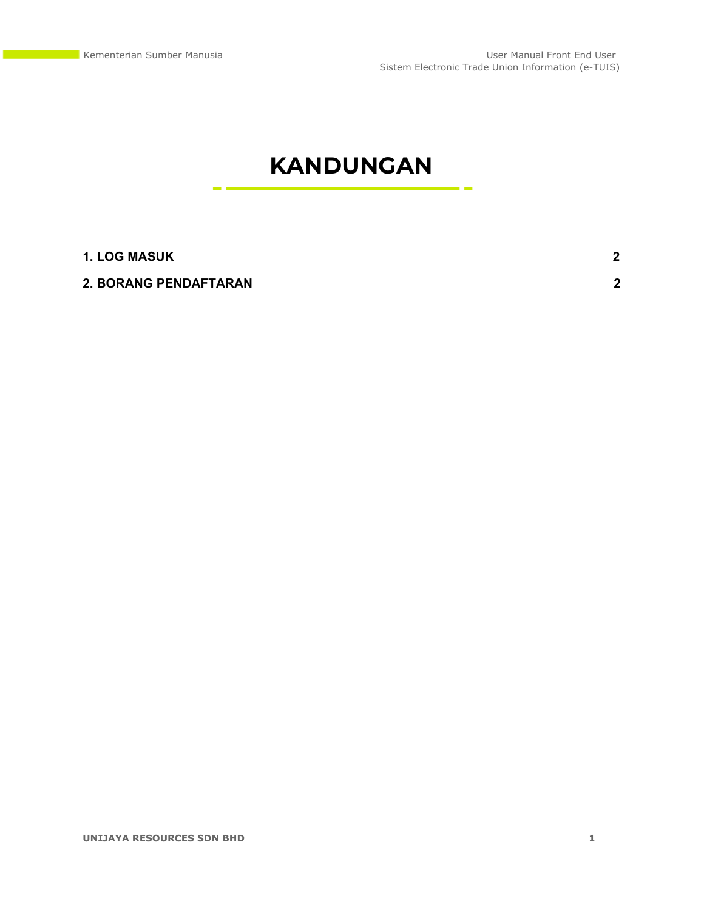a es

# **KANDUNGAN**

#### **1. LOG [MASUK](#page-2-0) [2](#page-2-0)**

#### **2. BORANG [PENDAFTARAN](#page-2-1) [2](#page-2-1)**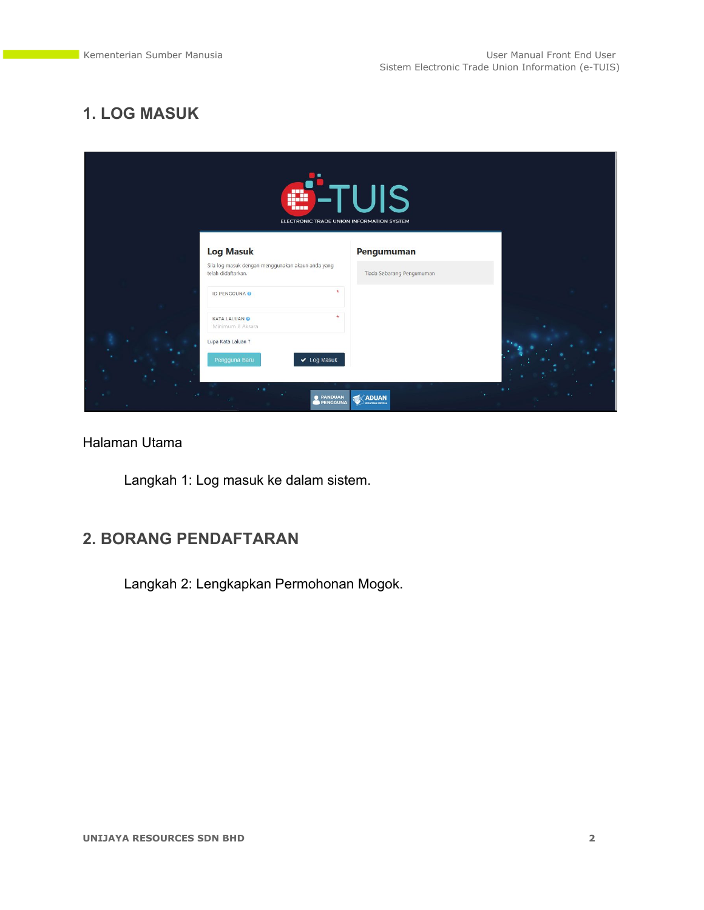# <span id="page-2-0"></span>**1. LOG MASUK**

| ۰.<br>-1<br>ga.<br><b>TERR</b><br>ELECTRONIC TRADE UNION INFORMATION SYSTEM | <b>UIS</b>                       |  |
|-----------------------------------------------------------------------------|----------------------------------|--|
| <b>Log Masuk</b><br>Sila log masuk dengan menggunakan akaun anda yang       | Pengumuman                       |  |
| telah didaftarkan.<br>ID PENGGUNA O                                         | Tiada Sebarang Pengumuman        |  |
| KATA LALUAN <sup>O</sup><br>Minimum 8 Aksara                                |                                  |  |
| Lupa Kata Laluan ?<br>Pengguna Baru<br>$\vee$ Log Masuk                     |                                  |  |
| . .<br><b>@ PANDUAN</b><br><b>PENGGUNA</b>                                  | <b>ADUAN</b><br>ALSOZE KAUTAAR D |  |

#### Halaman Utama

Langkah 1: Log masuk ke dalam sistem.

### <span id="page-2-1"></span>**2. BORANG PENDAFTARAN**

Langkah 2: Lengkapkan Permohonan Mogok.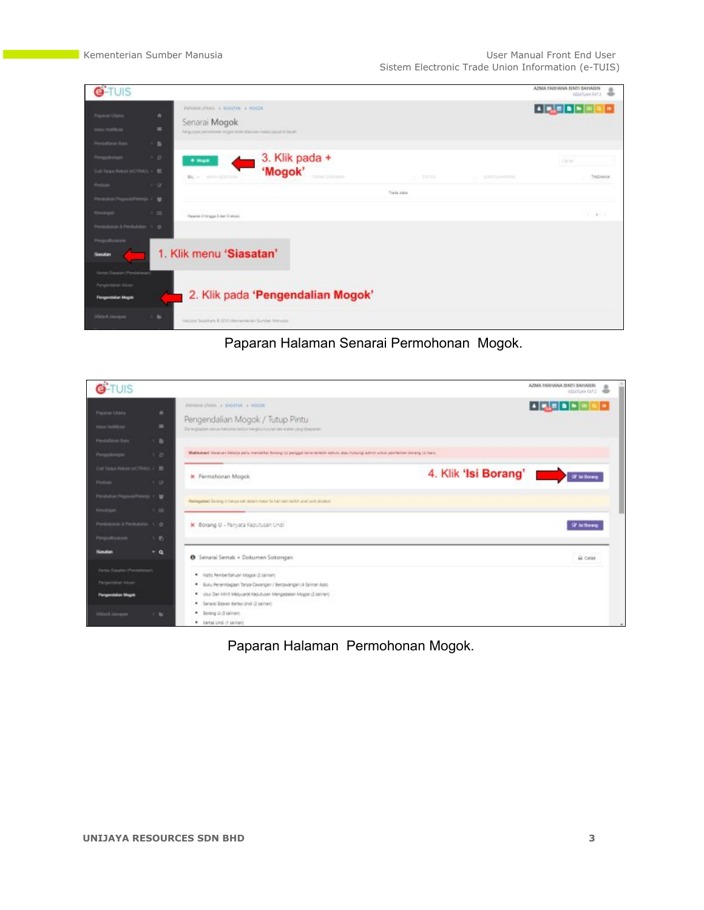| <b>G-TUIS</b>                                                              |                                                                                                                                                                | AZMA TARYANA BINTI BAHARIN<br><b>INTI BAHARIN @</b> |
|----------------------------------------------------------------------------|----------------------------------------------------------------------------------------------------------------------------------------------------------------|-----------------------------------------------------|
| <b>Plazara Ulargo</b><br>Infant Mobile and                                 | WASHINGTOWN & BASKTON & MOCOK<br>$\alpha$<br>Senarai Mogok<br>$\equiv$<br>Regizalar pemihinan Koyat tulah dialukan melalukan at kesah.                         | 이어                                                  |
| Pensishman Baro<br>Pergaturgan<br>Get Targer Relief (eCTRACE + 10)         | $\rightarrow$<br>3. Klik pada +<br>100<br>$+$ Maps.<br>'Mogok'<br>TARIHI GHENLIN<br><b>BL</b> = newsballering<br><b>ALL STATUS</b><br>THE REPORT OF A REPORTED | <b>Carles</b><br>TAIDAKAN                           |
| Perdam<br>Penduduk ProzessiPalarda, V. M.<br><b>Kimmann</b>                | $-1 - 10$<br>Trada data<br>$+100$<br>Reparate O hongga 2 days 3 velocity                                                                                       | v poz                                               |
| Permission & Permission 17 (b)<br>Pergustrance<br>Seater                   | 1. Klik menu 'Siasatan'                                                                                                                                        |                                                     |
| Kette Savaran (Panishman)<br>Pergentator Adjan<br><b>Pergendakan Magak</b> | 2. Klik pada 'Pengendalian Mogok'                                                                                                                              |                                                     |
| Minist Janque                                                              | 1.31<br>Historic Tepathera & 2212 Historicana Sumber Manuple                                                                                                   |                                                     |

Paparan Halaman Senarai Permohonan Mogok.

| G-TUIS                                           |                          |                                                                                                                                                                                   | AZMA EARHANA BINTI SAHARIN<br><b>INTI SAHARIN @</b>                                                                                                                                                                                                                                                           |
|--------------------------------------------------|--------------------------|-----------------------------------------------------------------------------------------------------------------------------------------------------------------------------------|---------------------------------------------------------------------------------------------------------------------------------------------------------------------------------------------------------------------------------------------------------------------------------------------------------------|
| <b>Paceron Utawa</b><br><b>New National</b>      | $\sim$<br>$\blacksquare$ | <b>BARABAN (TAMA) &amp; SHEATAN &amp; MOCOK</b><br>Pengendalian Mogok / Tutup Pintu<br>Six respigation person makk man bank of the right of surface date rentwo yields dipaperten | $1 - \frac{1}{2} \sum_{i=1}^{n} \frac{1}{i!} \left[ 1 - \frac{1}{2} \frac{1}{2} \frac{1}{2} \right] \left[ 1 - \frac{1}{2} \frac{1}{2} \frac{1}{2} \right] \left[ 1 - \frac{1}{2} \frac{1}{2} \frac{1}{2} \frac{1}{2} \right] \left[ 1 - \frac{1}{2} \frac{1}{2} \frac{1}{2} \frac{1}{2} \frac{1}{2} \right]$ |
| Pendaturan Bara<br>Perspheralm                   | $1 - 27$                 | Makkumant Kasaluan Sekata pantu mendatas Borang 11 penggal tama terletuk dahulu atau hulungi admin untuk pembalian korang 13 baru.                                                |                                                                                                                                                                                                                                                                                                               |
| Cut Torus Renot on TRACE < ID<br>Peadam:         | $-1/3$                   | <b>K</b> Permahonan Mogok                                                                                                                                                         | 4. Klik 'Isi Borang' <b>Manus</b><br><b>If is formy</b>                                                                                                                                                                                                                                                       |
| Personal Propositives (C. M.<br><b>Financial</b> | 4.22                     | Perhegatian! Solding U harvalsek stakeh masar 14 hari zail tarkih unali suite olicatus                                                                                            |                                                                                                                                                                                                                                                                                                               |
| Permekansk Heritologie, 1778<br>Pergustraneon    | $\mathbf{r}$             | * Borang U - Penyata Keputusan Undi                                                                                                                                               | Of hit Bonerg                                                                                                                                                                                                                                                                                                 |
| Slaustan                                         | $-a$                     | <b>O</b> Senarai Semak + Dokumen Sokongan                                                                                                                                         | A cess                                                                                                                                                                                                                                                                                                        |
| <b>Tarter Smother (Panishmae)</b>                |                          | * Notic Rembertatiuan Mogos (2 saliman)                                                                                                                                           |                                                                                                                                                                                                                                                                                                               |
| <b>Pergerstaken Advant</b>                       |                          | * Buku Perlembagaan Tanga Cavangan / Bertawangan (A Salinan Asal)                                                                                                                 |                                                                                                                                                                                                                                                                                                               |
| <b>Pergendakan Magak</b>                         |                          | . Usu Dan Minit Metyuanit Kejudusan Mengadakan Mogok (2 salinan)<br>· Senarai Edavan Kertas Lindi (2 salinari)                                                                    |                                                                                                                                                                                                                                                                                                               |
| Africa'd January                                 | ۰                        | · Botang U (3 salirse)<br>. Kertas Undi (1 salinari)                                                                                                                              |                                                                                                                                                                                                                                                                                                               |

# Paparan Halaman Permohonan Mogok.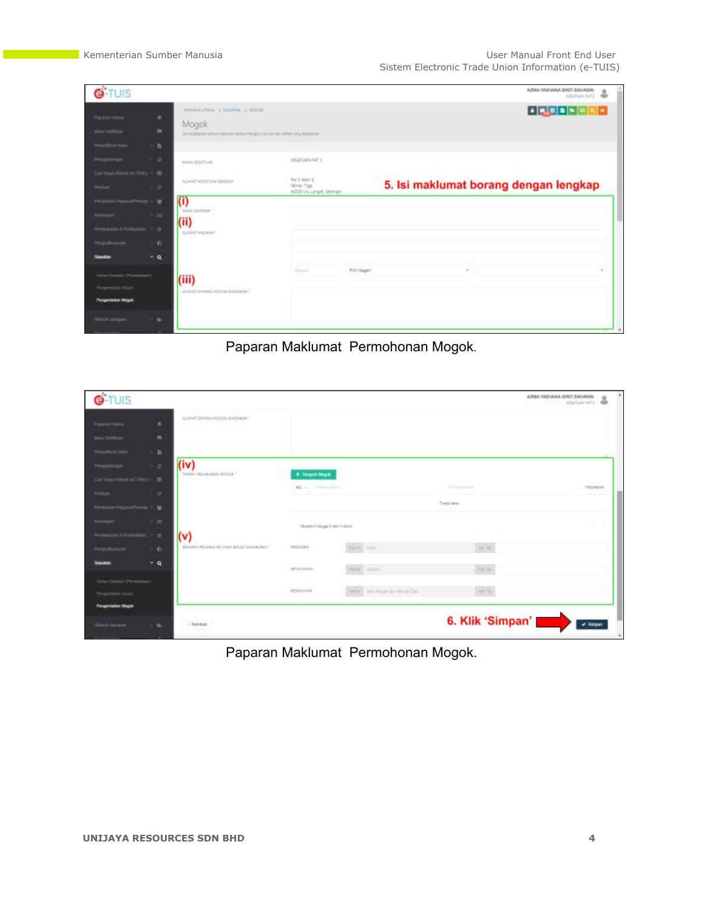| G-TUIS                                                                            |                                                                                                                                                                        |                                                                                   | AZMA FARHANA DINTI SAHARIN<br><b>INTI BAHARIN @</b> |        |
|-----------------------------------------------------------------------------------|------------------------------------------------------------------------------------------------------------------------------------------------------------------------|-----------------------------------------------------------------------------------|-----------------------------------------------------|--------|
| <b>Payment Utame</b><br><b><i>Infants Techniki and</i></b><br>Pensistane fires    | <b>BARABAN LTAMA &amp; BASATAN &amp; MODOK</b><br>٠<br>Mogok<br>$\blacksquare$<br>Sia regission person metodositivo megliotosican dan insterior programmente<br>$\sim$ |                                                                                   |                                                     | $Q =$  |
| Personnel<br>Cust Torque Hemist (eCTR/ICE) < 10<br>Peadam                         | - 12<br>NAMA RESATIVA<br>ALAHAT KESATUAN SEKERIA<br>4.19                                                                                                               | <b>EPSATUAN FAT 1</b><br>No.3 Jalan 5<br>Tenan Tips<br>43200 Ulu Langat, Selangar | 5. Isi maklumat borang dengan lengkap               |        |
| Perabalian Progress/Penado, V., M.<br>down 3 Peristines (1) @                     | (i)<br>NAME MATERIAL<br>$4 - 22$<br>(ii)<br>ALAMAT MAZIKAN!<br><b>D</b>                                                                                                |                                                                                   |                                                     |        |
| <b>Sanatan</b><br><b>Tartas Securiar (Panielmaan)</b><br><b>Pergendakan Mogok</b> | $-9$<br>(iii)<br>ALMIERT EDMANA HIDOGK GHADARAS *                                                                                                                      | 2244                                                                              | Pilit Negeri<br>$\sim$                              | $\sim$ |
| Aftered January                                                                   | $\sim$                                                                                                                                                                 |                                                                                   |                                                     |        |

Paparan Maklumat Permohonan Mogok.

| <b>G-TUIS</b>                               |               |                                           |                                      |                                       |                  | AZMA TARIHANA BINTI SAHARIN<br><b>YEAR AND ATT</b> |
|---------------------------------------------|---------------|-------------------------------------------|--------------------------------------|---------------------------------------|------------------|----------------------------------------------------|
| <b>Haywood Ulama</b>                        | $\bullet$     | ALAMAT DIMANA MOCON ZINDARAN              |                                      |                                       |                  |                                                    |
| <b><i>Information</i></b>                   | ٠             |                                           |                                      |                                       |                  |                                                    |
| Pensiphone Bas                              | a.            |                                           |                                      |                                       |                  |                                                    |
| Pergamangan                                 | $\frac{1}{2}$ | (iv)<br><b>SMISH INLAKEMAY MODDE*</b>     | + Termin Magak                       |                                       |                  |                                                    |
| Call Targo Heled (eCTRAL) + III.            |               |                                           | <b>BR.</b> A. TARASA MELA            |                                       | TATULA A A A A A | <b>District Control</b><br>TISDAKAS                |
| <b>Pinetical</b>                            | $-1 - 12^{n}$ |                                           |                                      |                                       |                  |                                                    |
| Persiani at Proposal Veters 1 / Mt          |               |                                           |                                      |                                       | Tieds thris      |                                                    |
|                                             | $-1 - 211$    |                                           | Papelán Dhingga D Zair O valodi      |                                       |                  | THE R. P.                                          |
| an Literature 1 15                          |               | (v)                                       |                                      |                                       |                  |                                                    |
|                                             | $\sim 10$     | SENANNI PESAWAI KE YANG BOLEH DIPUBUNGI * | PRISIN                               | marine Little                         | 191.741          |                                                    |
| <b>Unidian</b>                              | $-a$          |                                           | <b>SETULUSIANS</b>                   | Hang Livery                           | <b>HALTEL</b>    |                                                    |
| <b>Kerlyn Savalan (Perilakeean)</b>         |               |                                           | <b>CONTRACTOR</b><br><b>BENGAHAR</b> | Harris Court Atdustr for Alexand Tax- | <b>Has Tal.</b>  |                                                    |
| relative Advant<br><b>Pergendaton Mogok</b> |               |                                           |                                      |                                       |                  |                                                    |
| Hitsuit.hands                               | 1.34          | C Kergat                                  |                                      |                                       | 6. Klik 'Simpan' | $\nu$ Simpan                                       |
|                                             |               |                                           |                                      |                                       |                  |                                                    |

Paparan Maklumat Permohonan Mogok.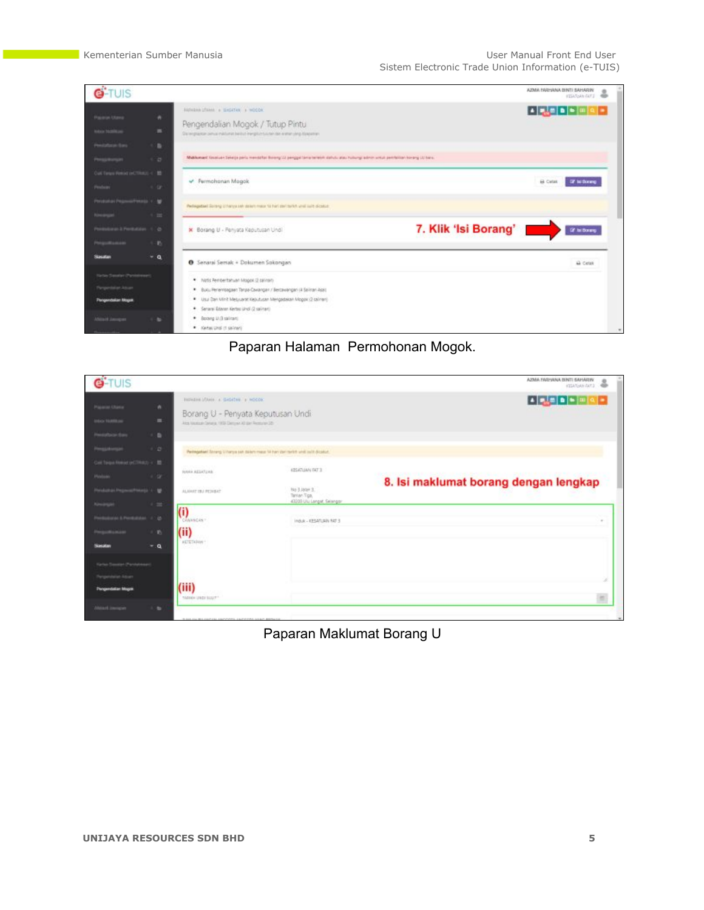| <b>G-TUIS</b>                                                                         |                     |                                                                                                                                                                                                                                 | AZMA FARHANA BINTI SAHARIN<br><b>ITSUGAINTS</b>                                                                                                                                                                                                  |
|---------------------------------------------------------------------------------------|---------------------|---------------------------------------------------------------------------------------------------------------------------------------------------------------------------------------------------------------------------------|--------------------------------------------------------------------------------------------------------------------------------------------------------------------------------------------------------------------------------------------------|
| <b>Payaron Utans</b><br><b>Intern Matilitane</b>                                      | ٠<br>$\blacksquare$ | BARASHA (TAMA) & SHEATAN & MOCOK<br>Pengendalian Mogok / Tutup Pintu<br>Six lengtapital person makkumat belikut trengkun tukuten dan sistem yang dipaparkan                                                                     | $\begin{array}{ c c c c c }\hline \textbf{A} & \textbf{B} & \textbf{B} & \textbf{B} & \textbf{B} & \textbf{B} \\ \hline \textbf{A} & \textbf{B} & \textbf{B} & \textbf{B} & \textbf{B} & \textbf{B} & \textbf{B} \\ \hline \end{array}$<br>$Q =$ |
| Pendaturan Baro<br>Perspherale                                                        | ٠<br>n a            | Makkumant Kasaluan Sekatja pantu memaalkat Bolang tidi penggal tama terletuk dalam kultungi adan untuk pembalian korang Lt/ baro.                                                                                               |                                                                                                                                                                                                                                                  |
| Cust Torque Remod (eCTTRAL) < ID<br>Perdam:                                           | $4.49^\circ$        | Permohanan Magok                                                                                                                                                                                                                | <b>B</b> Cytat<br><b>IF to Donny</b>                                                                                                                                                                                                             |
| Pershahan Progress/Penado, V., MI.<br><b>Financial</b>                                | 4.22                | Perhapstaat Solary) U harva sek dalam masar ta hari zail tarihit unat suit olicatus:                                                                                                                                            |                                                                                                                                                                                                                                                  |
| Pennsylvan & Pentubian (1) (b)<br>Pergustraneon                                       | m.                  | 7. Klik 'Isi Borang'<br>X Borang U - Penyata Keputusan Undi.                                                                                                                                                                    | If in Down                                                                                                                                                                                                                                       |
| Silviustum                                                                            | $-9$                | <b>O</b> Senarai Semak + Dokumen Sokongan                                                                                                                                                                                       | A Celak                                                                                                                                                                                                                                          |
| <b>Kirtley Steaker (Panishmen)</b><br>Pergentalize Advant<br><b>Pergendakan Mogok</b> |                     | * Notis Remperitatiuan Mogos (2 salinari)<br>* Buku Perlembagaan Tanpa Cavangan / Bestavangan (A Salinan Asal)<br>. Usu Dan Minit Metyuanat Kejudusan Mengadakan Mogok (2 galinan)<br>* Senarai Edwar, Kertas Undi (2 salinari) |                                                                                                                                                                                                                                                  |
| Aftered Jamper                                                                        | ۰                   | · Botang U (3 salman)<br>. Kertas Undi (1 salinari)                                                                                                                                                                             |                                                                                                                                                                                                                                                  |

# Paparan Halaman Permohonan Mogok.

| <b>G-TUIS</b>                                                                                 |                                                                                                                                   |                                                                                   | AZMA TARIHANA BINTI SAHARIN<br><b>INTI SAMARIN</b> @ |
|-----------------------------------------------------------------------------------------------|-----------------------------------------------------------------------------------------------------------------------------------|-----------------------------------------------------------------------------------|------------------------------------------------------|
| <b>Paperas Utama</b><br>$\bullet$<br>$\blacksquare$<br><b>Hina familian</b>                   | ENGINEERI LOMA A GASATAN & HOCOK<br>Borang U - Penyata Keputusan Undi<br>And the most favores, 1932 Decomed All the Restorate 125 |                                                                                   |                                                      |
| 1.81<br><b>Pensistace Bare</b><br>100<br><b>Pergustumps</b><br>Call Torpa Heliat (ACTRAC) < 图 |                                                                                                                                   | Perhegatian! Strang U harps sat dalary mass 14 hers per terich und sullt dicatur. |                                                      |
| <b>Pinism</b><br>1.00<br>Painball and Program Please L. L. M.<br>$+$ 10<br><b>Kowangar</b>    | NAMA AELATURA<br>ALAIMT IN FEMALE                                                                                                 | KESATUAN DITU<br>No 3 Jacen 3<br>Tanker-Tips,<br>43200 Ulu Langar, Selangar       | 8. Isi maklumat borang dengan lengkap                |
| Histories & Perdubber 17725<br>$+10$                                                          | (i)<br><b>CONVICES</b><br>(ii)<br><b>KETETKINNY</b>                                                                               | Induk - KESATUAN NO 3                                                             |                                                      |
| $-a$<br>100000<br>valent (Pontakeaan                                                          |                                                                                                                                   |                                                                                   |                                                      |
| <b>Pergendation Magak</b><br>Altract Jacques<br>$\sim$                                        | (iii)<br>TARKH UNDI SULT!                                                                                                         |                                                                                   |                                                      |

Paparan Maklumat Borang U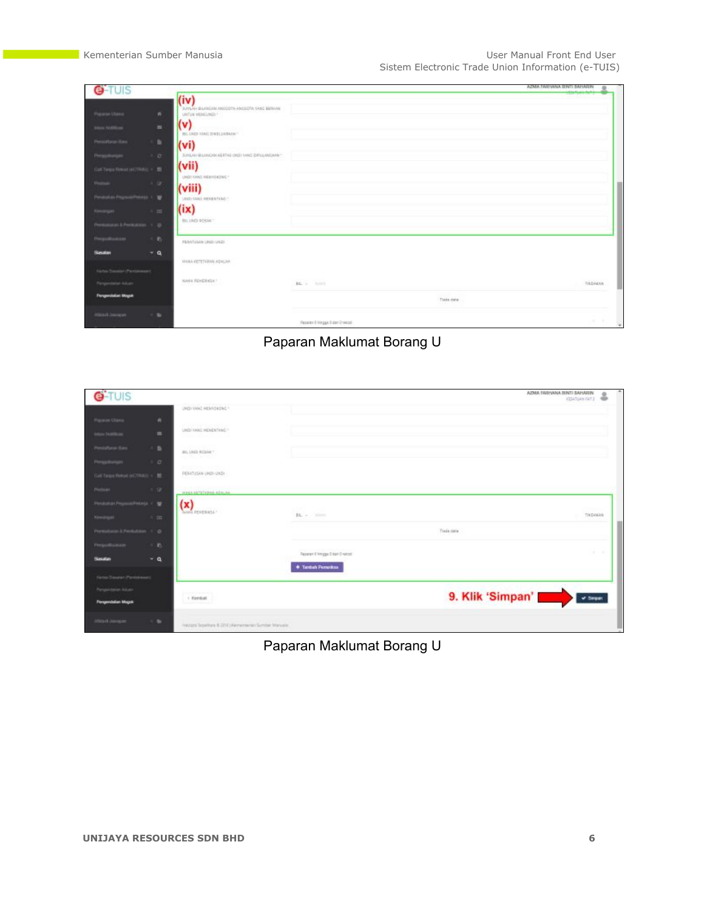| G-TUIS                           |                |                                                     |                                   |                      | ADMA EARLINNA DINTI BAHARIN |
|----------------------------------|----------------|-----------------------------------------------------|-----------------------------------|----------------------|-----------------------------|
|                                  |                | (iv)<br>BUILAH BILANGAN ANGGOTA ANGGOTA VANG BERINA |                                   |                      |                             |
| Paramet Utana                    | $\mathbf{a}$   | UNTUK HENCUREH!                                     |                                   |                      |                             |
| <b>Telluria The ATELIAN</b>      | $\equiv$       | (v)<br>BILLINGS VANG DIRELEASKAN!                   |                                   |                      |                             |
|                                  | $\blacksquare$ | (v <sub>i</sub> )                                   |                                   |                      |                             |
|                                  | $-2$           | JUNEAU BEANCAN KEEPIG CREENING ENFLOYED AT          |                                   |                      |                             |
| Call Torpa Royal or CTRAU + 10   |                | (vii)<br>UND! 4ANS IN(AHD4DAG"                      |                                   |                      |                             |
| Pestea                           | $1 - 10$       | (viii)                                              |                                   |                      |                             |
| мышал РеулияРимоз 1.             |                | UND HAND MERRATAND **                               |                                   |                      |                             |
|                                  | 1.11           | (ix)                                                |                                   |                      |                             |
| aw & Permanen (1) (b)            |                | <b>BILLING SOSM **</b>                              |                                   |                      |                             |
|                                  | $\bullet$      | PERMITERA UND UND                                   |                                   |                      |                             |
| والتجارات                        | $+a$           |                                                     |                                   |                      |                             |
| <b>Amazian (Planicial mount)</b> |                | MAILA ARTETADAS ADALAH                              |                                   |                      |                             |
| me Aban                          |                | WANA FEHERICA?                                      | Ba a book                         |                      | TINDAKAN                    |
| <b>Pergendatun Magok</b>         |                |                                                     |                                   | 22,950<br>Tixda data |                             |
| WaterChargan                     | $\sim$         |                                                     |                                   |                      |                             |
|                                  |                |                                                     | Reporter & Hingga D day Crokizd . |                      | OF BY                       |

Paparan Maklumat Borang U

| <b>G-TUIS</b>                       |                                                     |                          | AZMA TARYANA BINTI SAHARIN<br><b>INTERNATIVE OF</b>                                                                                                                                                                                                                                                                                                                                                                                                       |
|-------------------------------------|-----------------------------------------------------|--------------------------|-----------------------------------------------------------------------------------------------------------------------------------------------------------------------------------------------------------------------------------------------------------------------------------------------------------------------------------------------------------------------------------------------------------------------------------------------------------|
|                                     | UHD (SHK) HEMISKONG                                 |                          |                                                                                                                                                                                                                                                                                                                                                                                                                                                           |
| $\bullet$<br><b>Figures Users</b>   | na mwaka wa 2012, wakati wa 1920                    |                          |                                                                                                                                                                                                                                                                                                                                                                                                                                                           |
| $\equiv$<br>How Stafford            | UND INNE MENENTANC -                                |                          |                                                                                                                                                                                                                                                                                                                                                                                                                                                           |
| ٠<br><b>Mexical Concert El anno</b> | BILLINGS ROSAN *                                    |                          |                                                                                                                                                                                                                                                                                                                                                                                                                                                           |
| 100                                 | <b>NATURE ANGELES</b>                               |                          |                                                                                                                                                                                                                                                                                                                                                                                                                                                           |
| Gell Targer Releat (eCTRACE + 10)   | PERIOUSAN UNDI-UNDI                                 |                          |                                                                                                                                                                                                                                                                                                                                                                                                                                                           |
| $1 - 10$<br>$\blacksquare$          | <b>HACKATEFARM ATALAN</b>                           |                          |                                                                                                                                                                                                                                                                                                                                                                                                                                                           |
| Antoni Penamun Peterja . C. W.      | (x)                                                 |                          |                                                                                                                                                                                                                                                                                                                                                                                                                                                           |
| $+10$                               |                                                     | BL-> ninc                | TINDAKIN                                                                                                                                                                                                                                                                                                                                                                                                                                                  |
| an a Perdudaker (170)               |                                                     |                          | Tieda data                                                                                                                                                                                                                                                                                                                                                                                                                                                |
| $\mathcal{D}$<br><b>STARAN</b>      |                                                     | Rower Energy Edwi Drates | $\mathcal{L}^{\mathcal{L}}(\mathcal{L}^{\mathcal{L}}(\mathcal{L}^{\mathcal{L}}(\mathcal{L}^{\mathcal{L}}(\mathcal{L}^{\mathcal{L}}(\mathcal{L}^{\mathcal{L}}(\mathcal{L}^{\mathcal{L}}(\mathcal{L}^{\mathcal{L}}(\mathcal{L}^{\mathcal{L}}(\mathcal{L}^{\mathcal{L}}(\mathcal{L}^{\mathcal{L}}(\mathcal{L}^{\mathcal{L}}(\mathcal{L}^{\mathcal{L}}(\mathcal{L}^{\mathcal{L}}(\mathcal{L}^{\mathcal{L}}(\mathcal{L}^{\mathcal{L}}(\mathcal{L}^{\mathcal{L$ |
| $-a$<br><b>SANAFFE</b>              |                                                     | * Tuntuh Pemerina        |                                                                                                                                                                                                                                                                                                                                                                                                                                                           |
| <b>Taxator (Panis</b>               |                                                     |                          |                                                                                                                                                                                                                                                                                                                                                                                                                                                           |
| ange Arbusen                        | <b><i><i><u>ALCOVERY CONTROLLS</u></i></i></b>      |                          | 9. Klik 'Simpan'<br>$4$ Separ                                                                                                                                                                                                                                                                                                                                                                                                                             |
| <b>Pergendakan Magak</b>            | - Kentuit                                           |                          |                                                                                                                                                                                                                                                                                                                                                                                                                                                           |
| Mittell Jampan<br>in the            | Henzie Tepelhara 8.2212 Hierwinson's Sumber Manuple |                          |                                                                                                                                                                                                                                                                                                                                                                                                                                                           |

Paparan Maklumat Borang U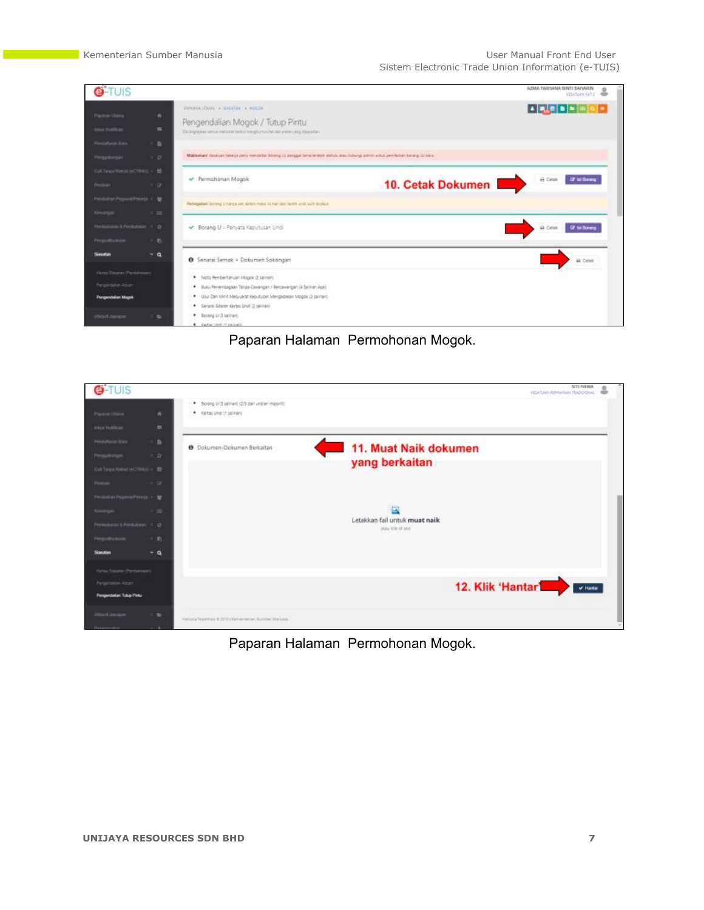| <b>G-TUIS</b>                                                    |                                                                                                                                                        | AZMA TARIYANA DINTI SAHARIN<br>ö<br><b>ISSUARINTS</b> |
|------------------------------------------------------------------|--------------------------------------------------------------------------------------------------------------------------------------------------------|-------------------------------------------------------|
| <b><i>Plazance Utares</i></b><br><b>Hara Stafford</b>            | Establish LOAMS & BASKTAN & MOCOK<br>٠<br>Pengendalian Mogok / Tutup Pintu<br>$\equiv$<br>Delegation seus metteorische neglischen de eine verglüsseler | $1 - 2$                                               |
| <b>Pencilation on Earn</b><br><b>Hoppstonger</b><br>100          | $\blacksquare$<br>Makkenard Keseluan Tellega pertumentahat Biosny VJ penggal tama terletim dahutu atau huluungi admin untuk pembintan borang UJ lians. |                                                       |
| Gell Targer Releat (eCTRACE + 10)<br>Perdanen<br>$-1 - 10$       | Permchonan Mogok<br>10. Cetak Dokumen                                                                                                                  | B Circle <b>II Di to Dorang</b>                       |
| Persistent Program Process (1)<br>$-1$ 111                       | Periegatest Vorang U harva sen dalern mass ha han zan zahlin until suit dictatur.                                                                      |                                                       |
| Permakanan & Pemilialian (1) (b)<br>1. EL<br><b>MAGAZINA AND</b> | - Borang U - Penyata Keputusan Linci.                                                                                                                  | <b>B Celat I Of In Borang</b>                         |
| $-a$<br><b>SPLATE</b>                                            | <b>O</b> Senarai Semak + Dokumen Sokongan                                                                                                              | A cent                                                |
| Kentes Transiteir (Plantitimogen)<br>dator Aduan                 | · Nots Fembertahuan Mogoli (2 salinar)<br>* Buku Perlembagaan Tanga Cawangan / Bercawangan (4 Salinan Asal)                                            |                                                       |
| <b>Pergendakan Magak</b>                                         | Usu Dan Minit Mesyuanzi Kesutucan Mengadakan Mogok (2 painan)<br>٠<br>· Senaral Edaram Kertas Lindi (2 palmar)                                         |                                                       |
| Hillstoff, Dansker                                               | * Borang U.S salnani.<br>٠<br>* Keywrited Husbard                                                                                                      |                                                       |

Paparan Halaman Permohonan Mogok.

| <b>G-TUIS</b>                         |                |                                                                                  | SITI HAWA<br>JESATUAN ADEMANAN TEADISONAL<br>÷   |
|---------------------------------------|----------------|----------------------------------------------------------------------------------|--------------------------------------------------|
|                                       |                | . Bosing U (3 salinari) (2/3 dar) undian majoriti)<br>* Kertas Undi (1 salinari) |                                                  |
| Payment Olance                        | $\sim$         |                                                                                  |                                                  |
| <b>How Nations</b>                    | $\blacksquare$ |                                                                                  |                                                  |
| Pendaftscan Gare                      | $\blacksquare$ | <b>O</b> Dokumen-Dokumen Berkaltan                                               | 11. Muat Naik dokumen                            |
| Pengustungan                          | $-2$           |                                                                                  |                                                  |
| Call Target Heliot (ACTRIKE) + B      |                |                                                                                  | yang berkaitan                                   |
| Pennsyl                               | $-1.57$        |                                                                                  |                                                  |
| Personal an Programm Policy (c. 1) 50 |                |                                                                                  |                                                  |
|                                       | $+ 24$         |                                                                                  |                                                  |
| <b>School and American Avenue</b>     |                |                                                                                  | Letakkan fail untuk muat naik<br>atas kik draini |
| Pergustkancen                         | $\mathcal{D}$  |                                                                                  |                                                  |
| Sasatan                               | $-a$           |                                                                                  |                                                  |
| Kerlas Savatan (Pantukowan)           |                |                                                                                  |                                                  |
| Pergensteinen Adsam                   |                |                                                                                  | 12. Klik 'Hantar'<br>$\sigma$ Halfa              |
| Pergendakan Tutup Pintu               |                |                                                                                  |                                                  |
| ANAUL Lincoln                         | $\sim$         | Hakipta Tayathara B 2213 (Removements, Sumilar Margazo)                          |                                                  |
|                                       |                |                                                                                  |                                                  |

# Paparan Halaman Permohonan Mogok.